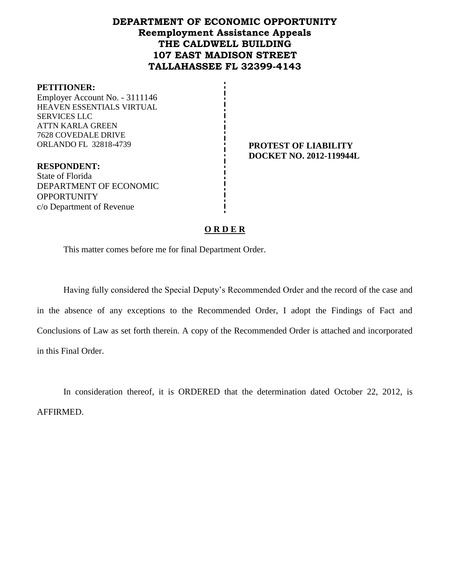# **DEPARTMENT OF ECONOMIC OPPORTUNITY Reemployment Assistance Appeals THE CALDWELL BUILDING 107 EAST MADISON STREET TALLAHASSEE FL 32399-4143**

#### **PETITIONER:**

Employer Account No. - 3111146 HEAVEN ESSENTIALS VIRTUAL SERVICES LLC ATTN KARLA GREEN 7628 COVEDALE DRIVE ORLANDO FL 32818-4739 **PROTEST OF LIABILITY**

**DOCKET NO. 2012-119944L**

**RESPONDENT:** State of Florida DEPARTMENT OF ECONOMIC **OPPORTUNITY** c/o Department of Revenue

#### **O R D E R**

This matter comes before me for final Department Order.

Having fully considered the Special Deputy's Recommended Order and the record of the case and in the absence of any exceptions to the Recommended Order, I adopt the Findings of Fact and Conclusions of Law as set forth therein. A copy of the Recommended Order is attached and incorporated in this Final Order.

In consideration thereof, it is ORDERED that the determination dated October 22, 2012, is AFFIRMED.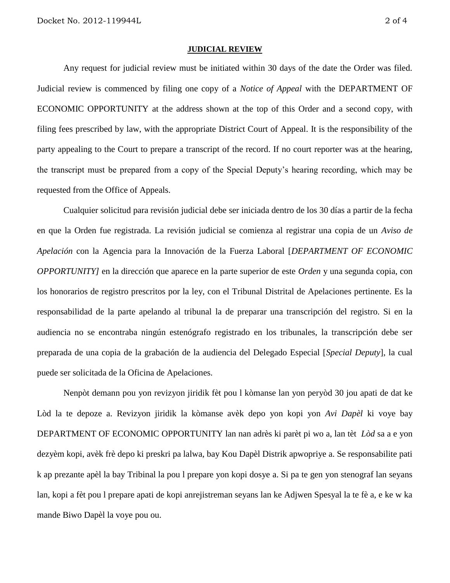#### **JUDICIAL REVIEW**

Any request for judicial review must be initiated within 30 days of the date the Order was filed. Judicial review is commenced by filing one copy of a *Notice of Appeal* with the DEPARTMENT OF ECONOMIC OPPORTUNITY at the address shown at the top of this Order and a second copy, with filing fees prescribed by law, with the appropriate District Court of Appeal. It is the responsibility of the party appealing to the Court to prepare a transcript of the record. If no court reporter was at the hearing, the transcript must be prepared from a copy of the Special Deputy's hearing recording, which may be requested from the Office of Appeals.

Cualquier solicitud para revisión judicial debe ser iniciada dentro de los 30 días a partir de la fecha en que la Orden fue registrada. La revisión judicial se comienza al registrar una copia de un *Aviso de Apelación* con la Agencia para la Innovación de la Fuerza Laboral [*DEPARTMENT OF ECONOMIC OPPORTUNITY]* en la dirección que aparece en la parte superior de este *Orden* y una segunda copia, con los honorarios de registro prescritos por la ley, con el Tribunal Distrital de Apelaciones pertinente. Es la responsabilidad de la parte apelando al tribunal la de preparar una transcripción del registro. Si en la audiencia no se encontraba ningún estenógrafo registrado en los tribunales, la transcripción debe ser preparada de una copia de la grabación de la audiencia del Delegado Especial [*Special Deputy*], la cual puede ser solicitada de la Oficina de Apelaciones.

Nenpòt demann pou yon revizyon jiridik fèt pou l kòmanse lan yon peryòd 30 jou apati de dat ke Lòd la te depoze a. Revizyon jiridik la kòmanse avèk depo yon kopi yon *Avi Dapèl* ki voye bay DEPARTMENT OF ECONOMIC OPPORTUNITY lan nan adrès ki parèt pi wo a, lan tèt *Lòd* sa a e yon dezyèm kopi, avèk frè depo ki preskri pa lalwa, bay Kou Dapèl Distrik apwopriye a. Se responsabilite pati k ap prezante apèl la bay Tribinal la pou l prepare yon kopi dosye a. Si pa te gen yon stenograf lan seyans lan, kopi a fèt pou l prepare apati de kopi anrejistreman seyans lan ke Adjwen Spesyal la te fè a, e ke w ka mande Biwo Dapèl la voye pou ou.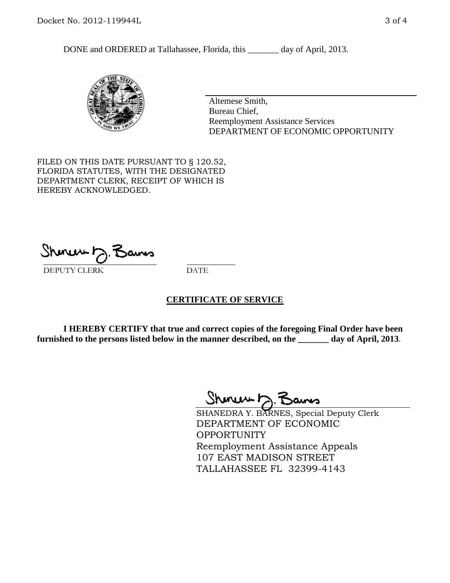DONE and ORDERED at Tallahassee, Florida, this \_\_\_\_\_\_\_ day of April, 2013.



Altemese Smith, Bureau Chief, Reemployment Assistance Services DEPARTMENT OF ECONOMIC OPPORTUNITY

FILED ON THIS DATE PURSUANT TO § 120.52, FLORIDA STATUTES, WITH THE DESIGNATED DEPARTMENT CLERK, RECEIPT OF WHICH IS HEREBY ACKNOWLEDGED.

 $\overline{\phantom{a}}$  ,  $\overline{\phantom{a}}$  ,  $\overline{\phantom{a}}$  ,  $\overline{\phantom{a}}$  ,  $\overline{\phantom{a}}$  ,  $\overline{\phantom{a}}$  ,  $\overline{\phantom{a}}$  ,  $\overline{\phantom{a}}$ DEPUTY CLERK DATE

## **CERTIFICATE OF SERVICE**

**I HEREBY CERTIFY that true and correct copies of the foregoing Final Order have been furnished to the persons listed below in the manner described, on the \_\_\_\_\_\_\_ day of April, 2013**.

 $ShmumE, F$ 

SHANEDRA Y. BARNES, Special Deputy Clerk DEPARTMENT OF ECONOMIC OPPORTUNITY Reemployment Assistance Appeals 107 EAST MADISON STREET TALLAHASSEE FL 32399-4143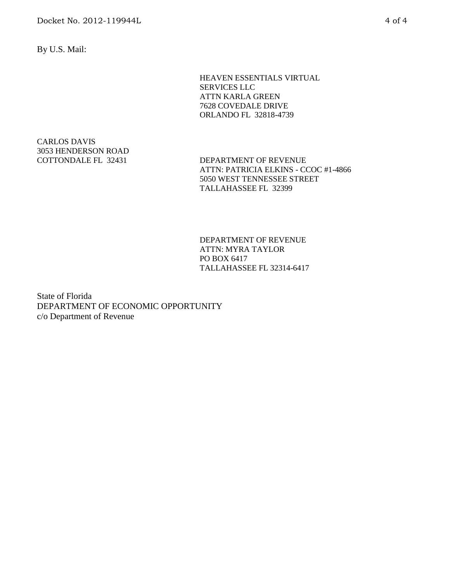By U.S. Mail:

HEAVEN ESSENTIALS VIRTUAL SERVICES LLC ATTN KARLA GREEN 7628 COVEDALE DRIVE ORLANDO FL 32818-4739

CARLOS DAVIS 3053 HENDERSON ROAD

COTTONDALE FL 32431 DEPARTMENT OF REVENUE ATTN: PATRICIA ELKINS - CCOC #1-4866 5050 WEST TENNESSEE STREET TALLAHASSEE FL 32399

> DEPARTMENT OF REVENUE ATTN: MYRA TAYLOR PO BOX 6417 TALLAHASSEE FL 32314-6417

State of Florida DEPARTMENT OF ECONOMIC OPPORTUNITY c/o Department of Revenue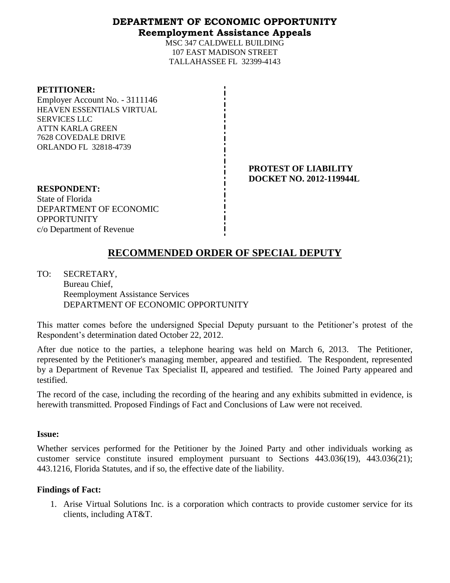# **DEPARTMENT OF ECONOMIC OPPORTUNITY Reemployment Assistance Appeals**

MSC 347 CALDWELL BUILDING 107 EAST MADISON STREET TALLAHASSEE FL 32399-4143

#### **PETITIONER:**

Employer Account No. - 3111146 HEAVEN ESSENTIALS VIRTUAL SERVICES LLC ATTN KARLA GREEN 7628 COVEDALE DRIVE ORLANDO FL 32818-4739

#### **PROTEST OF LIABILITY DOCKET NO. 2012-119944L**

**RESPONDENT:** State of Florida DEPARTMENT OF ECONOMIC **OPPORTUNITY** c/o Department of Revenue

# **RECOMMENDED ORDER OF SPECIAL DEPUTY**

TO: SECRETARY, Bureau Chief, Reemployment Assistance Services DEPARTMENT OF ECONOMIC OPPORTUNITY

This matter comes before the undersigned Special Deputy pursuant to the Petitioner's protest of the Respondent's determination dated October 22, 2012.

After due notice to the parties, a telephone hearing was held on March 6, 2013. The Petitioner, represented by the Petitioner's managing member, appeared and testified. The Respondent, represented by a Department of Revenue Tax Specialist II, appeared and testified. The Joined Party appeared and testified.

The record of the case, including the recording of the hearing and any exhibits submitted in evidence, is herewith transmitted. Proposed Findings of Fact and Conclusions of Law were not received.

#### **Issue:**

Whether services performed for the Petitioner by the Joined Party and other individuals working as customer service constitute insured employment pursuant to Sections 443.036(19), 443.036(21); 443.1216, Florida Statutes, and if so, the effective date of the liability.

## **Findings of Fact:**

1. Arise Virtual Solutions Inc. is a corporation which contracts to provide customer service for its clients, including AT&T.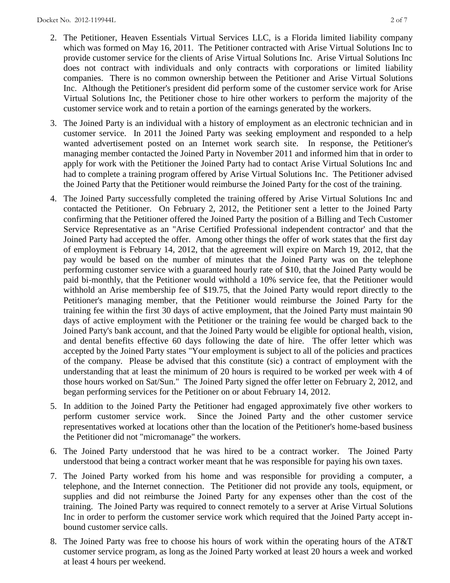- 
- 2. The Petitioner, Heaven Essentials Virtual Services LLC, is a Florida limited liability company which was formed on May 16, 2011. The Petitioner contracted with Arise Virtual Solutions Inc to provide customer service for the clients of Arise Virtual Solutions Inc. Arise Virtual Solutions Inc does not contract with individuals and only contracts with corporations or limited liability companies. There is no common ownership between the Petitioner and Arise Virtual Solutions Inc. Although the Petitioner's president did perform some of the customer service work for Arise Virtual Solutions Inc, the Petitioner chose to hire other workers to perform the majority of the customer service work and to retain a portion of the earnings generated by the workers.
- 3. The Joined Party is an individual with a history of employment as an electronic technician and in customer service. In 2011 the Joined Party was seeking employment and responded to a help wanted advertisement posted on an Internet work search site. In response, the Petitioner's managing member contacted the Joined Party in November 2011 and informed him that in order to apply for work with the Petitioner the Joined Party had to contact Arise Virtual Solutions Inc and had to complete a training program offered by Arise Virtual Solutions Inc. The Petitioner advised the Joined Party that the Petitioner would reimburse the Joined Party for the cost of the training.
- 4. The Joined Party successfully completed the training offered by Arise Virtual Solutions Inc and contacted the Petitioner. On February 2, 2012, the Petitioner sent a letter to the Joined Party confirming that the Petitioner offered the Joined Party the position of a Billing and Tech Customer Service Representative as an "Arise Certified Professional independent contractor' and that the Joined Party had accepted the offer. Among other things the offer of work states that the first day of employment is February 14, 2012, that the agreement will expire on March 19, 2012, that the pay would be based on the number of minutes that the Joined Party was on the telephone performing customer service with a guaranteed hourly rate of \$10, that the Joined Party would be paid bi-monthly, that the Petitioner would withhold a 10% service fee, that the Petitioner would withhold an Arise membership fee of \$19.75, that the Joined Party would report directly to the Petitioner's managing member, that the Petitioner would reimburse the Joined Party for the training fee within the first 30 days of active employment, that the Joined Party must maintain 90 days of active employment with the Petitioner or the training fee would be charged back to the Joined Party's bank account, and that the Joined Party would be eligible for optional health, vision, and dental benefits effective 60 days following the date of hire. The offer letter which was accepted by the Joined Party states "Your employment is subject to all of the policies and practices of the company. Please be advised that this constitute (sic) a contract of employment with the understanding that at least the minimum of 20 hours is required to be worked per week with 4 of those hours worked on Sat/Sun." The Joined Party signed the offer letter on February 2, 2012, and began performing services for the Petitioner on or about February 14, 2012.
- 5. In addition to the Joined Party the Petitioner had engaged approximately five other workers to perform customer service work. Since the Joined Party and the other customer service representatives worked at locations other than the location of the Petitioner's home-based business the Petitioner did not "micromanage" the workers.
- 6. The Joined Party understood that he was hired to be a contract worker. The Joined Party understood that being a contract worker meant that he was responsible for paying his own taxes.
- 7. The Joined Party worked from his home and was responsible for providing a computer, a telephone, and the Internet connection. The Petitioner did not provide any tools, equipment, or supplies and did not reimburse the Joined Party for any expenses other than the cost of the training. The Joined Party was required to connect remotely to a server at Arise Virtual Solutions Inc in order to perform the customer service work which required that the Joined Party accept inbound customer service calls.
- 8. The Joined Party was free to choose his hours of work within the operating hours of the AT&T customer service program, as long as the Joined Party worked at least 20 hours a week and worked at least 4 hours per weekend.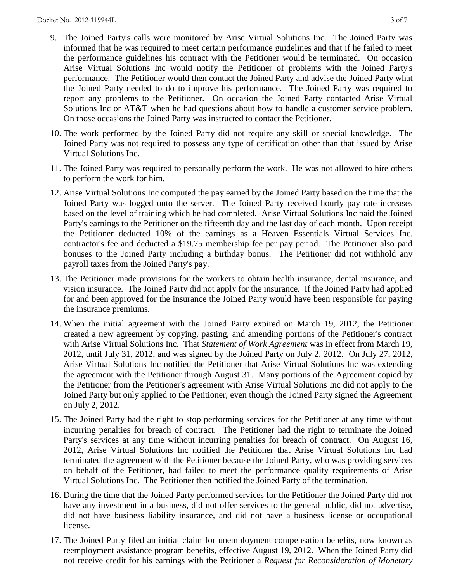- 9. The Joined Party's calls were monitored by Arise Virtual Solutions Inc. The Joined Party was informed that he was required to meet certain performance guidelines and that if he failed to meet the performance guidelines his contract with the Petitioner would be terminated. On occasion Arise Virtual Solutions Inc would notify the Petitioner of problems with the Joined Party's performance. The Petitioner would then contact the Joined Party and advise the Joined Party what the Joined Party needed to do to improve his performance. The Joined Party was required to report any problems to the Petitioner. On occasion the Joined Party contacted Arise Virtual Solutions Inc or AT&T when he had questions about how to handle a customer service problem. On those occasions the Joined Party was instructed to contact the Petitioner.
- 10. The work performed by the Joined Party did not require any skill or special knowledge. The Joined Party was not required to possess any type of certification other than that issued by Arise Virtual Solutions Inc.
- 11. The Joined Party was required to personally perform the work. He was not allowed to hire others to perform the work for him.
- 12. Arise Virtual Solutions Inc computed the pay earned by the Joined Party based on the time that the Joined Party was logged onto the server. The Joined Party received hourly pay rate increases based on the level of training which he had completed. Arise Virtual Solutions Inc paid the Joined Party's earnings to the Petitioner on the fifteenth day and the last day of each month. Upon receipt the Petitioner deducted 10% of the earnings as a Heaven Essentials Virtual Services Inc. contractor's fee and deducted a \$19.75 membership fee per pay period. The Petitioner also paid bonuses to the Joined Party including a birthday bonus. The Petitioner did not withhold any payroll taxes from the Joined Party's pay.
- 13. The Petitioner made provisions for the workers to obtain health insurance, dental insurance, and vision insurance. The Joined Party did not apply for the insurance. If the Joined Party had applied for and been approved for the insurance the Joined Party would have been responsible for paying the insurance premiums.
- 14. When the initial agreement with the Joined Party expired on March 19, 2012, the Petitioner created a new agreement by copying, pasting, and amending portions of the Petitioner's contract with Arise Virtual Solutions Inc. That *Statement of Work Agreement* was in effect from March 19, 2012, until July 31, 2012, and was signed by the Joined Party on July 2, 2012. On July 27, 2012, Arise Virtual Solutions Inc notified the Petitioner that Arise Virtual Solutions Inc was extending the agreement with the Petitioner through August 31. Many portions of the Agreement copied by the Petitioner from the Petitioner's agreement with Arise Virtual Solutions Inc did not apply to the Joined Party but only applied to the Petitioner, even though the Joined Party signed the Agreement on July 2, 2012.
- 15. The Joined Party had the right to stop performing services for the Petitioner at any time without incurring penalties for breach of contract. The Petitioner had the right to terminate the Joined Party's services at any time without incurring penalties for breach of contract. On August 16, 2012, Arise Virtual Solutions Inc notified the Petitioner that Arise Virtual Solutions Inc had terminated the agreement with the Petitioner because the Joined Party, who was providing services on behalf of the Petitioner, had failed to meet the performance quality requirements of Arise Virtual Solutions Inc. The Petitioner then notified the Joined Party of the termination.
- 16. During the time that the Joined Party performed services for the Petitioner the Joined Party did not have any investment in a business, did not offer services to the general public, did not advertise, did not have business liability insurance, and did not have a business license or occupational license.
- 17. The Joined Party filed an initial claim for unemployment compensation benefits, now known as reemployment assistance program benefits, effective August 19, 2012. When the Joined Party did not receive credit for his earnings with the Petitioner a *Request for Reconsideration of Monetary*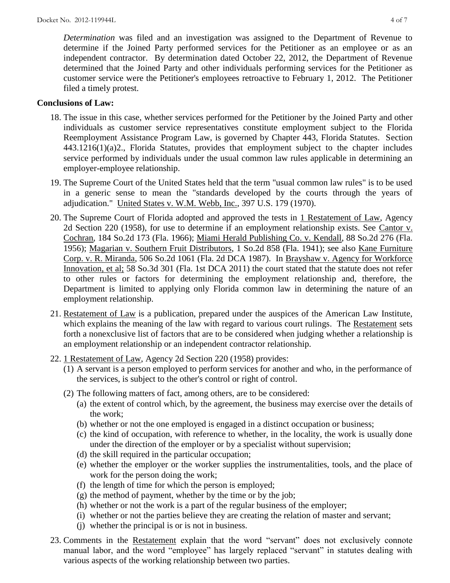*Determination* was filed and an investigation was assigned to the Department of Revenue to determine if the Joined Party performed services for the Petitioner as an employee or as an independent contractor. By determination dated October 22, 2012, the Department of Revenue determined that the Joined Party and other individuals performing services for the Petitioner as customer service were the Petitioner's employees retroactive to February 1, 2012. The Petitioner filed a timely protest.

# **Conclusions of Law:**

- 18. The issue in this case, whether services performed for the Petitioner by the Joined Party and other individuals as customer service representatives constitute employment subject to the Florida Reemployment Assistance Program Law, is governed by Chapter 443, Florida Statutes. Section 443.1216(1)(a)2., Florida Statutes, provides that employment subject to the chapter includes service performed by individuals under the usual common law rules applicable in determining an employer-employee relationship.
- 19. The Supreme Court of the United States held that the term "usual common law rules" is to be used in a generic sense to mean the "standards developed by the courts through the years of adjudication." United States v. W.M. Webb, Inc., 397 U.S. 179 (1970).
- 20. The Supreme Court of Florida adopted and approved the tests in 1 Restatement of Law, Agency 2d Section 220 (1958), for use to determine if an employment relationship exists. See Cantor v. Cochran, 184 So.2d 173 (Fla. 1966); Miami Herald Publishing Co. v. Kendall, 88 So.2d 276 (Fla. 1956); Magarian v. Southern Fruit Distributors, 1 So.2d 858 (Fla. 1941); see also Kane Furniture Corp. v. R. Miranda, 506 So.2d 1061 (Fla. 2d DCA 1987). In Brayshaw v. Agency for Workforce Innovation, et al; 58 So.3d 301 (Fla. 1st DCA 2011) the court stated that the statute does not refer to other rules or factors for determining the employment relationship and, therefore, the Department is limited to applying only Florida common law in determining the nature of an employment relationship.
- 21. Restatement of Law is a publication, prepared under the auspices of the American Law Institute, which explains the meaning of the law with regard to various court rulings. The Restatement sets forth a nonexclusive list of factors that are to be considered when judging whether a relationship is an employment relationship or an independent contractor relationship.
- 22. 1 Restatement of Law, Agency 2d Section 220 (1958) provides:
	- (1) A servant is a person employed to perform services for another and who, in the performance of the services, is subject to the other's control or right of control.
	- (2) The following matters of fact, among others, are to be considered:
		- (a) the extent of control which, by the agreement, the business may exercise over the details of the work;
		- (b) whether or not the one employed is engaged in a distinct occupation or business;
		- (c) the kind of occupation, with reference to whether, in the locality, the work is usually done under the direction of the employer or by a specialist without supervision;
		- (d) the skill required in the particular occupation;
		- (e) whether the employer or the worker supplies the instrumentalities, tools, and the place of work for the person doing the work;
		- (f) the length of time for which the person is employed;
		- $(g)$  the method of payment, whether by the time or by the job;
		- (h) whether or not the work is a part of the regular business of the employer;
		- (i) whether or not the parties believe they are creating the relation of master and servant;
		- (j) whether the principal is or is not in business.
- 23. Comments in the Restatement explain that the word "servant" does not exclusively connote manual labor, and the word "employee" has largely replaced "servant" in statutes dealing with various aspects of the working relationship between two parties.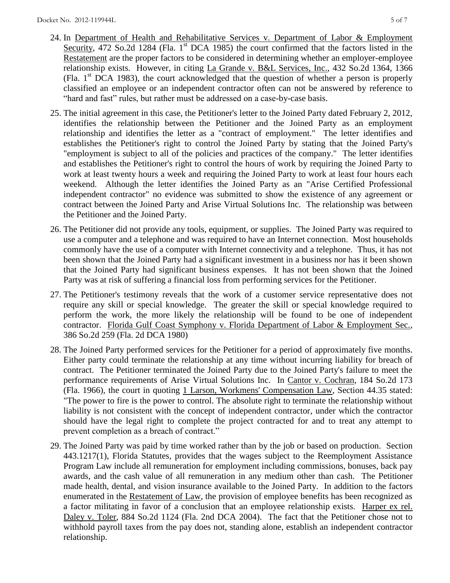- 24. In Department of Health and Rehabilitative Services v. Department of Labor & Employment Security, 472 So.2d 1284 (Fla. 1<sup>st</sup> DCA 1985) the court confirmed that the factors listed in the Restatement are the proper factors to be considered in determining whether an employer-employee relationship exists. However, in citing La Grande v. B&L Services, Inc., 432 So.2d 1364, 1366 (Fla.  $1<sup>st</sup> DCA$  1983), the court acknowledged that the question of whether a person is properly classified an employee or an independent contractor often can not be answered by reference to "hard and fast" rules, but rather must be addressed on a case-by-case basis.
- 25. The initial agreement in this case, the Petitioner's letter to the Joined Party dated February 2, 2012, identifies the relationship between the Petitioner and the Joined Party as an employment relationship and identifies the letter as a "contract of employment." The letter identifies and establishes the Petitioner's right to control the Joined Party by stating that the Joined Party's "employment is subject to all of the policies and practices of the company." The letter identifies and establishes the Petitioner's right to control the hours of work by requiring the Joined Party to work at least twenty hours a week and requiring the Joined Party to work at least four hours each weekend. Although the letter identifies the Joined Party as an "Arise Certified Professional independent contractor" no evidence was submitted to show the existence of any agreement or contract between the Joined Party and Arise Virtual Solutions Inc. The relationship was between the Petitioner and the Joined Party.
- 26. The Petitioner did not provide any tools, equipment, or supplies. The Joined Party was required to use a computer and a telephone and was required to have an Internet connection. Most households commonly have the use of a computer with Internet connectivity and a telephone. Thus, it has not been shown that the Joined Party had a significant investment in a business nor has it been shown that the Joined Party had significant business expenses. It has not been shown that the Joined Party was at risk of suffering a financial loss from performing services for the Petitioner.
- 27. The Petitioner's testimony reveals that the work of a customer service representative does not require any skill or special knowledge. The greater the skill or special knowledge required to perform the work, the more likely the relationship will be found to be one of independent contractor. Florida Gulf Coast Symphony v. Florida Department of Labor & Employment Sec., 386 So.2d 259 (Fla. 2d DCA 1980)
- 28. The Joined Party performed services for the Petitioner for a period of approximately five months. Either party could terminate the relationship at any time without incurring liability for breach of contract. The Petitioner terminated the Joined Party due to the Joined Party's failure to meet the performance requirements of Arise Virtual Solutions Inc. In Cantor v. Cochran, 184 So.2d 173 (Fla. 1966), the court in quoting 1 Larson, Workmens' Compensation Law, Section 44.35 stated: "The power to fire is the power to control. The absolute right to terminate the relationship without liability is not consistent with the concept of independent contractor, under which the contractor should have the legal right to complete the project contracted for and to treat any attempt to prevent completion as a breach of contract."
- 29. The Joined Party was paid by time worked rather than by the job or based on production. Section 443.1217(1), Florida Statutes, provides that the wages subject to the Reemployment Assistance Program Law include all remuneration for employment including commissions, bonuses, back pay awards, and the cash value of all remuneration in any medium other than cash. The Petitioner made health, dental, and vision insurance available to the Joined Party. In addition to the factors enumerated in the Restatement of Law, the provision of employee benefits has been recognized as a factor militating in favor of a conclusion that an employee relationship exists. Harper ex rel. Daley v. Toler, 884 So.2d 1124 (Fla. 2nd DCA 2004). The fact that the Petitioner chose not to withhold payroll taxes from the pay does not, standing alone, establish an independent contractor relationship.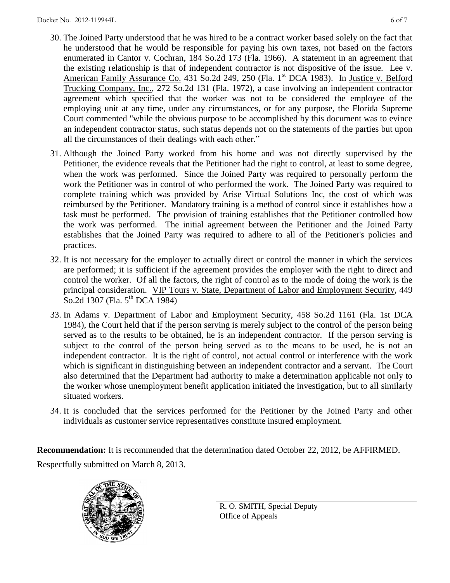- 30. The Joined Party understood that he was hired to be a contract worker based solely on the fact that he understood that he would be responsible for paying his own taxes, not based on the factors enumerated in Cantor v. Cochran, 184 So.2d 173 (Fla. 1966). A statement in an agreement that the existing relationship is that of independent contractor is not dispositive of the issue. Lee v. American Family Assurance Co. 431 So.2d 249, 250 (Fla. 1st DCA 1983). In Justice v. Belford Trucking Company, Inc., 272 So.2d 131 (Fla. 1972), a case involving an independent contractor agreement which specified that the worker was not to be considered the employee of the employing unit at any time, under any circumstances, or for any purpose, the Florida Supreme Court commented "while the obvious purpose to be accomplished by this document was to evince an independent contractor status, such status depends not on the statements of the parties but upon all the circumstances of their dealings with each other."
- 31. Although the Joined Party worked from his home and was not directly supervised by the Petitioner, the evidence reveals that the Petitioner had the right to control, at least to some degree, when the work was performed. Since the Joined Party was required to personally perform the work the Petitioner was in control of who performed the work. The Joined Party was required to complete training which was provided by Arise Virtual Solutions Inc, the cost of which was reimbursed by the Petitioner. Mandatory training is a method of control since it establishes how a task must be performed. The provision of training establishes that the Petitioner controlled how the work was performed. The initial agreement between the Petitioner and the Joined Party establishes that the Joined Party was required to adhere to all of the Petitioner's policies and practices.
- 32. It is not necessary for the employer to actually direct or control the manner in which the services are performed; it is sufficient if the agreement provides the employer with the right to direct and control the worker. Of all the factors, the right of control as to the mode of doing the work is the principal consideration. VIP Tours v. State, Department of Labor and Employment Security, 449 So.2d 1307 (Fla. 5<sup>th</sup> DCA 1984)
- 33. In Adams v. Department of Labor and Employment Security, 458 So.2d 1161 (Fla. 1st DCA 1984), the Court held that if the person serving is merely subject to the control of the person being served as to the results to be obtained, he is an independent contractor. If the person serving is subject to the control of the person being served as to the means to be used, he is not an independent contractor. It is the right of control, not actual control or interference with the work which is significant in distinguishing between an independent contractor and a servant. The Court also determined that the Department had authority to make a determination applicable not only to the worker whose unemployment benefit application initiated the investigation, but to all similarly situated workers.
- 34. It is concluded that the services performed for the Petitioner by the Joined Party and other individuals as customer service representatives constitute insured employment.

**Recommendation:** It is recommended that the determination dated October 22, 2012, be AFFIRMED. Respectfully submitted on March 8, 2013.



R. O. SMITH, Special Deputy Office of Appeals